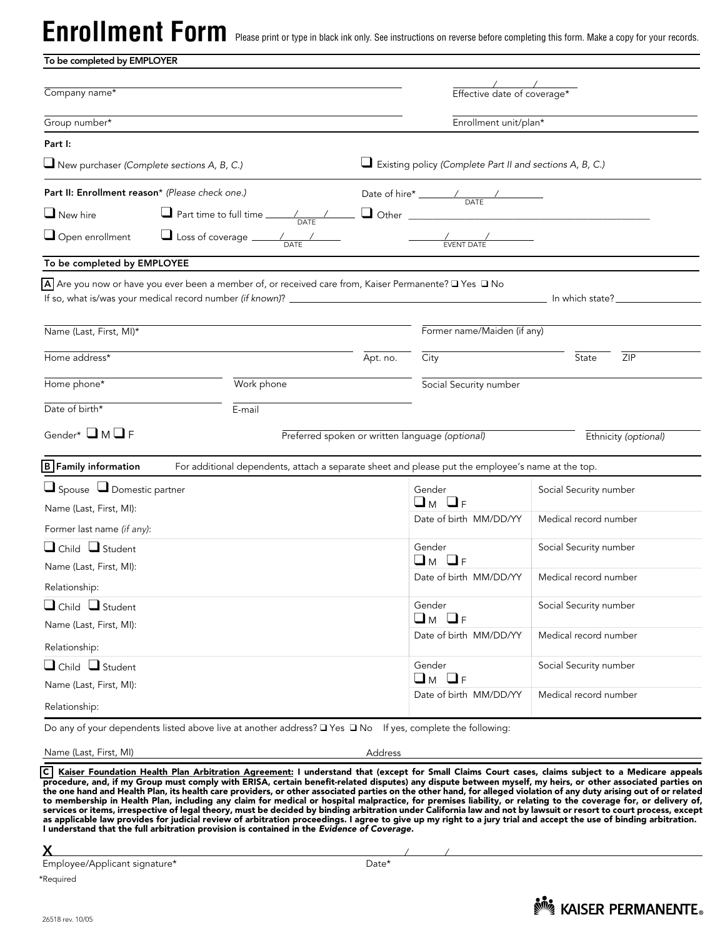Enrollment Form enase print or type in black ink only. See instructions on reverse before completing this form. Make a copy for your records.

| To be completed by EMPLOYER                       |                                                                                                            |                                                          |                                                                                                                                                                                                                                                                                                                                                                                                          |                        |  |
|---------------------------------------------------|------------------------------------------------------------------------------------------------------------|----------------------------------------------------------|----------------------------------------------------------------------------------------------------------------------------------------------------------------------------------------------------------------------------------------------------------------------------------------------------------------------------------------------------------------------------------------------------------|------------------------|--|
| Company name*                                     |                                                                                                            |                                                          | Effective date of coverage*                                                                                                                                                                                                                                                                                                                                                                              |                        |  |
| Group number*                                     |                                                                                                            | Enrollment unit/plan*                                    |                                                                                                                                                                                                                                                                                                                                                                                                          |                        |  |
| Part I:                                           |                                                                                                            |                                                          |                                                                                                                                                                                                                                                                                                                                                                                                          |                        |  |
| $\Box$ New purchaser (Complete sections A, B, C.) |                                                                                                            | Existing policy (Complete Part II and sections A, B, C.) |                                                                                                                                                                                                                                                                                                                                                                                                          |                        |  |
| Part II: Enrollment reason* (Please check one.)   |                                                                                                            |                                                          | Date of hire* $\frac{1}{\sqrt{1-\frac{1}{2}}}\frac{1}{\sqrt{1-\frac{1}{2}}\sqrt{1-\frac{1}{2}}\sqrt{1-\frac{1}{2}}\sqrt{1-\frac{1}{2}}\sqrt{1-\frac{1}{2}}\sqrt{1-\frac{1}{2}}\sqrt{1-\frac{1}{2}}\sqrt{1-\frac{1}{2}}\sqrt{1-\frac{1}{2}}\sqrt{1-\frac{1}{2}}\sqrt{1-\frac{1}{2}}\sqrt{1-\frac{1}{2}}\sqrt{1-\frac{1}{2}}\sqrt{1-\frac{1}{2}}\sqrt{1-\frac{1}{2}}\sqrt{1-\frac{1}{2}}\sqrt{1-\frac{1}{$ |                        |  |
| $\Box$ New hire                                   |                                                                                                            |                                                          |                                                                                                                                                                                                                                                                                                                                                                                                          |                        |  |
|                                                   | $\Box$ Open enrollment $\Box$ Loss of coverage $\frac{1}{\Box\Delta T}$                                    |                                                          | $\frac{\frac{1}{\sqrt{1-\frac{1}{2}}}}{EVENT\ DATE}$                                                                                                                                                                                                                                                                                                                                                     |                        |  |
| To be completed by EMPLOYEE                       |                                                                                                            |                                                          |                                                                                                                                                                                                                                                                                                                                                                                                          |                        |  |
| Name (Last, First, MI)*                           | A Are you now or have you ever been a member of, or received care from, Kaiser Permanente? O Yes O No      |                                                          | Former name/Maiden (if any)                                                                                                                                                                                                                                                                                                                                                                              |                        |  |
|                                                   |                                                                                                            |                                                          |                                                                                                                                                                                                                                                                                                                                                                                                          |                        |  |
| Home address*                                     |                                                                                                            | Apt. no.                                                 | City                                                                                                                                                                                                                                                                                                                                                                                                     | State<br>ZIP           |  |
| Home phone*                                       | Work phone                                                                                                 |                                                          | Social Security number                                                                                                                                                                                                                                                                                                                                                                                   |                        |  |
| Date of birth*                                    | E-mail                                                                                                     |                                                          |                                                                                                                                                                                                                                                                                                                                                                                                          |                        |  |
| Gender* $\Box$ M $\Box$ F                         |                                                                                                            |                                                          | Preferred spoken or written language (optional)                                                                                                                                                                                                                                                                                                                                                          | Ethnicity (optional)   |  |
| <b>B</b> Family information                       | For additional dependents, attach a separate sheet and please put the employee's name at the top.          |                                                          |                                                                                                                                                                                                                                                                                                                                                                                                          |                        |  |
| $\Box$ Spouse $\Box$ Domestic partner             |                                                                                                            |                                                          | Gender                                                                                                                                                                                                                                                                                                                                                                                                   | Social Security number |  |
| Name (Last, First, MI):                           |                                                                                                            |                                                          | $\Box_M$ $\Box_F$                                                                                                                                                                                                                                                                                                                                                                                        |                        |  |
| Former last name (if any):                        |                                                                                                            |                                                          | Date of birth MM/DD/YY                                                                                                                                                                                                                                                                                                                                                                                   | Medical record number  |  |
| $\Box$ Child $\Box$ Student                       |                                                                                                            |                                                          | Gender                                                                                                                                                                                                                                                                                                                                                                                                   | Social Security number |  |
| Name (Last, First, MI):                           |                                                                                                            |                                                          | □м □ғ<br>Date of birth MM/DD/YY                                                                                                                                                                                                                                                                                                                                                                          | Medical record number  |  |
| Relationship:                                     |                                                                                                            |                                                          |                                                                                                                                                                                                                                                                                                                                                                                                          |                        |  |
| $\Box$ Child $\Box$ Student                       |                                                                                                            |                                                          | Gender                                                                                                                                                                                                                                                                                                                                                                                                   | Social Security number |  |
| Name (Last, First, MI):                           |                                                                                                            |                                                          | $\Box$ M $\Box$ F<br>Date of birth MM/DD/YY                                                                                                                                                                                                                                                                                                                                                              | Medical record number  |  |
| Relationship:                                     |                                                                                                            |                                                          |                                                                                                                                                                                                                                                                                                                                                                                                          |                        |  |
| $\Box$ Child $\Box$ Student                       |                                                                                                            |                                                          | Gender                                                                                                                                                                                                                                                                                                                                                                                                   | Social Security number |  |
| Name (Last, First, MI):                           |                                                                                                            |                                                          | $\Box_M$ $\Box_F$                                                                                                                                                                                                                                                                                                                                                                                        |                        |  |
| Relationship:                                     |                                                                                                            |                                                          | Date of birth MM/DD/YY                                                                                                                                                                                                                                                                                                                                                                                   | Medical record number  |  |
|                                                   | Do any of your dependents listed above live at another address? □ Yes □ No If yes, complete the following: |                                                          |                                                                                                                                                                                                                                                                                                                                                                                                          |                        |  |

Name (Last, First, MI) Address

C<u>| Kaiser Foundation Health Plan Arbitration Agreement:</u> I understand that (except for Small Claims Court cases, claims subject to a Medicare appeals<br>procedure, and, if my Group must comply with ERISA, certain benefit-rel to membership in Health Plan, including any claim for medical or hospital malpractice, for premises liability, or relating to the coverage for, or delivery of,<br>services or items, irrespective of legal theory, must be decid as applicable law provides for judicial review of arbitration proceedings. I agree to give up my right to a jury trial and accept the use of binding arbitration.<br>I understand that the full arbitration provision is containe

X

Employee/Applicant signature\* Date\*

\*Required

26518 rev. 10/05

/ /